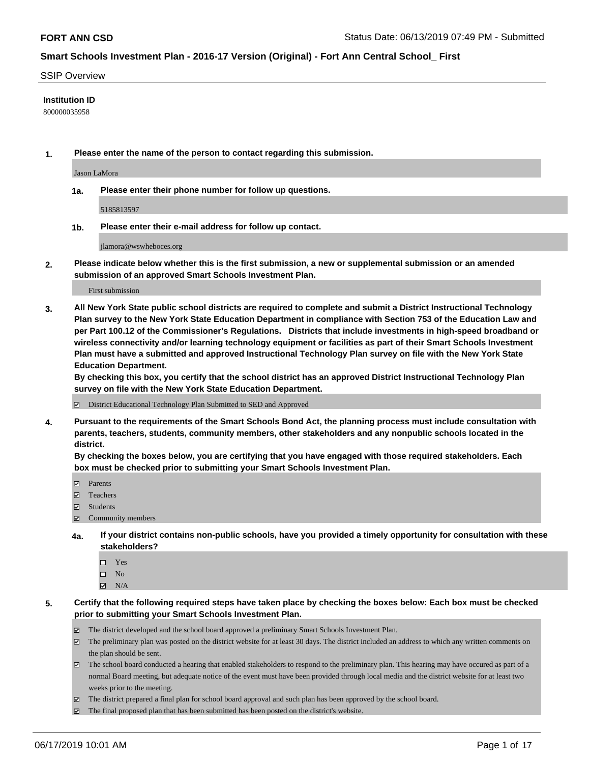#### SSIP Overview

#### **Institution ID**

800000035958

**1. Please enter the name of the person to contact regarding this submission.**

Jason LaMora

**1a. Please enter their phone number for follow up questions.**

5185813597

**1b. Please enter their e-mail address for follow up contact.**

jlamora@wswheboces.org

**2. Please indicate below whether this is the first submission, a new or supplemental submission or an amended submission of an approved Smart Schools Investment Plan.**

First submission

**3. All New York State public school districts are required to complete and submit a District Instructional Technology Plan survey to the New York State Education Department in compliance with Section 753 of the Education Law and per Part 100.12 of the Commissioner's Regulations. Districts that include investments in high-speed broadband or wireless connectivity and/or learning technology equipment or facilities as part of their Smart Schools Investment Plan must have a submitted and approved Instructional Technology Plan survey on file with the New York State Education Department.** 

**By checking this box, you certify that the school district has an approved District Instructional Technology Plan survey on file with the New York State Education Department.**

District Educational Technology Plan Submitted to SED and Approved

**4. Pursuant to the requirements of the Smart Schools Bond Act, the planning process must include consultation with parents, teachers, students, community members, other stakeholders and any nonpublic schools located in the district.** 

**By checking the boxes below, you are certifying that you have engaged with those required stakeholders. Each box must be checked prior to submitting your Smart Schools Investment Plan.**

- Parents
- Teachers
- Students
- Community members
- **4a. If your district contains non-public schools, have you provided a timely opportunity for consultation with these stakeholders?**
	- □ Yes
	- $\square$  No
	- $N/A$
- **5. Certify that the following required steps have taken place by checking the boxes below: Each box must be checked prior to submitting your Smart Schools Investment Plan.**
	- The district developed and the school board approved a preliminary Smart Schools Investment Plan.
	- $\boxtimes$  The preliminary plan was posted on the district website for at least 30 days. The district included an address to which any written comments on the plan should be sent.
	- $\boxtimes$  The school board conducted a hearing that enabled stakeholders to respond to the preliminary plan. This hearing may have occured as part of a normal Board meeting, but adequate notice of the event must have been provided through local media and the district website for at least two weeks prior to the meeting.
	- The district prepared a final plan for school board approval and such plan has been approved by the school board.
	- $\boxtimes$  The final proposed plan that has been submitted has been posted on the district's website.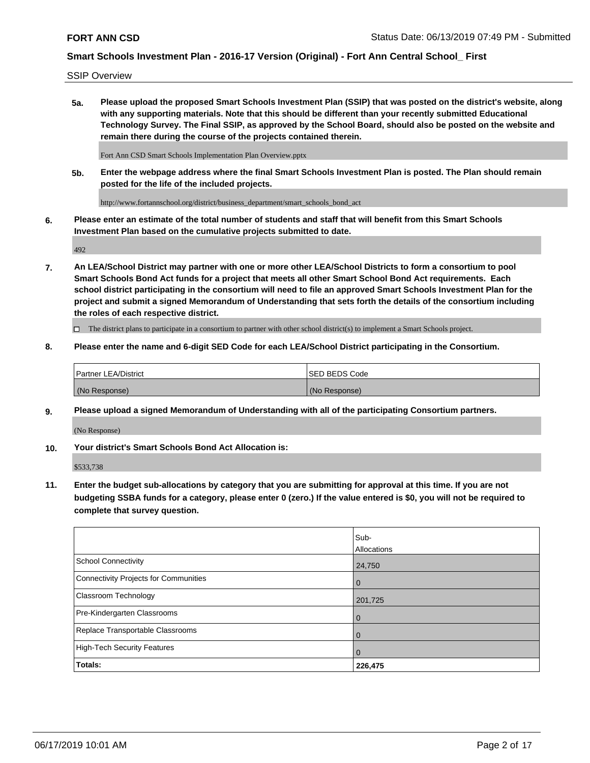SSIP Overview

**5a. Please upload the proposed Smart Schools Investment Plan (SSIP) that was posted on the district's website, along with any supporting materials. Note that this should be different than your recently submitted Educational Technology Survey. The Final SSIP, as approved by the School Board, should also be posted on the website and remain there during the course of the projects contained therein.**

Fort Ann CSD Smart Schools Implementation Plan Overview.pptx

**5b. Enter the webpage address where the final Smart Schools Investment Plan is posted. The Plan should remain posted for the life of the included projects.**

http://www.fortannschool.org/district/business\_department/smart\_schools\_bond\_act

**6. Please enter an estimate of the total number of students and staff that will benefit from this Smart Schools Investment Plan based on the cumulative projects submitted to date.**

492

**7. An LEA/School District may partner with one or more other LEA/School Districts to form a consortium to pool Smart Schools Bond Act funds for a project that meets all other Smart School Bond Act requirements. Each school district participating in the consortium will need to file an approved Smart Schools Investment Plan for the project and submit a signed Memorandum of Understanding that sets forth the details of the consortium including the roles of each respective district.**

 $\Box$  The district plans to participate in a consortium to partner with other school district(s) to implement a Smart Schools project.

#### **8. Please enter the name and 6-digit SED Code for each LEA/School District participating in the Consortium.**

| Partner LEA/District | <b>ISED BEDS Code</b> |
|----------------------|-----------------------|
| (No Response)        | (No Response)         |

#### **9. Please upload a signed Memorandum of Understanding with all of the participating Consortium partners.**

(No Response)

**10. Your district's Smart Schools Bond Act Allocation is:**

\$533,738

**11. Enter the budget sub-allocations by category that you are submitting for approval at this time. If you are not budgeting SSBA funds for a category, please enter 0 (zero.) If the value entered is \$0, you will not be required to complete that survey question.**

|                                       | Sub-<br>Allocations |
|---------------------------------------|---------------------|
| School Connectivity                   | 24,750              |
| Connectivity Projects for Communities | $\overline{0}$      |
| <b>Classroom Technology</b>           | 201,725             |
| Pre-Kindergarten Classrooms           | $\overline{0}$      |
| Replace Transportable Classrooms      | $\Omega$            |
| High-Tech Security Features           | $\Omega$            |
| Totals:                               | 226,475             |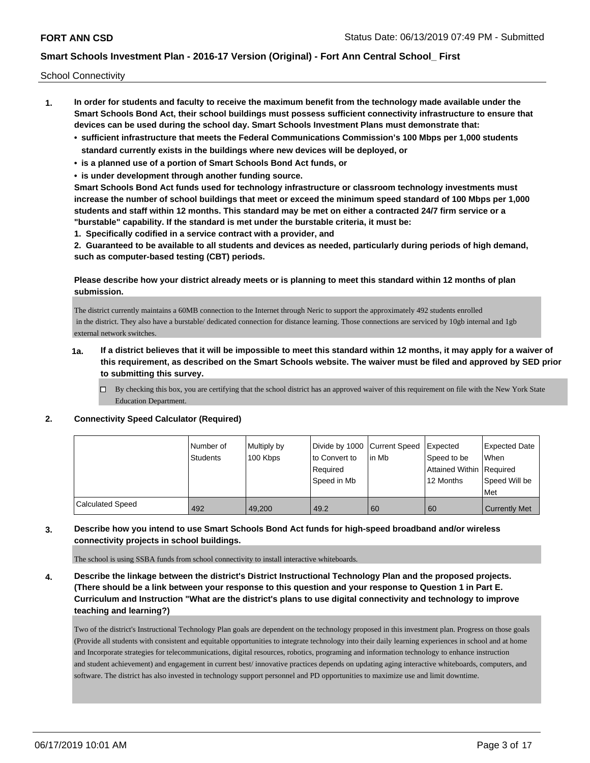School Connectivity

- **1. In order for students and faculty to receive the maximum benefit from the technology made available under the Smart Schools Bond Act, their school buildings must possess sufficient connectivity infrastructure to ensure that devices can be used during the school day. Smart Schools Investment Plans must demonstrate that:**
	- **• sufficient infrastructure that meets the Federal Communications Commission's 100 Mbps per 1,000 students standard currently exists in the buildings where new devices will be deployed, or**
	- **• is a planned use of a portion of Smart Schools Bond Act funds, or**
	- **• is under development through another funding source.**

**Smart Schools Bond Act funds used for technology infrastructure or classroom technology investments must increase the number of school buildings that meet or exceed the minimum speed standard of 100 Mbps per 1,000 students and staff within 12 months. This standard may be met on either a contracted 24/7 firm service or a "burstable" capability. If the standard is met under the burstable criteria, it must be:**

**1. Specifically codified in a service contract with a provider, and**

**2. Guaranteed to be available to all students and devices as needed, particularly during periods of high demand, such as computer-based testing (CBT) periods.**

### **Please describe how your district already meets or is planning to meet this standard within 12 months of plan submission.**

The district currently maintains a 60MB connection to the Internet through Neric to support the approximately 492 students enrolled in the district. They also have a burstable/ dedicated connection for distance learning. Those connections are serviced by 10gb internal and 1gb external network switches.

- **1a. If a district believes that it will be impossible to meet this standard within 12 months, it may apply for a waiver of this requirement, as described on the Smart Schools website. The waiver must be filed and approved by SED prior to submitting this survey.**
	- $\Box$  By checking this box, you are certifying that the school district has an approved waiver of this requirement on file with the New York State Education Department.

#### **2. Connectivity Speed Calculator (Required)**

|                         | Number of<br><b>Students</b> | Multiply by<br>100 Kbps | Divide by 1000 Current Speed<br>to Convert to<br>Required<br>Speed in Mb | lin Mb | <b>Expected</b><br>Speed to be<br>Attained Within Required<br>12 Months | <b>Expected Date</b><br>When<br>Speed Will be<br>Met |
|-------------------------|------------------------------|-------------------------|--------------------------------------------------------------------------|--------|-------------------------------------------------------------------------|------------------------------------------------------|
| <b>Calculated Speed</b> | 492                          | 49.200                  | 49.2                                                                     | 60     | 60                                                                      | <b>Currently Met</b>                                 |

#### **3. Describe how you intend to use Smart Schools Bond Act funds for high-speed broadband and/or wireless connectivity projects in school buildings.**

The school is using SSBA funds from school connectivity to install interactive whiteboards.

**4. Describe the linkage between the district's District Instructional Technology Plan and the proposed projects. (There should be a link between your response to this question and your response to Question 1 in Part E. Curriculum and Instruction "What are the district's plans to use digital connectivity and technology to improve teaching and learning?)**

Two of the district's Instructional Technology Plan goals are dependent on the technology proposed in this investment plan. Progress on those goals (Provide all students with consistent and equitable opportunities to integrate technology into their daily learning experiences in school and at home and Incorporate strategies for telecommunications, digital resources, robotics, programing and information technology to enhance instruction and student achievement) and engagement in current best/ innovative practices depends on updating aging interactive whiteboards, computers, and software. The district has also invested in technology support personnel and PD opportunities to maximize use and limit downtime.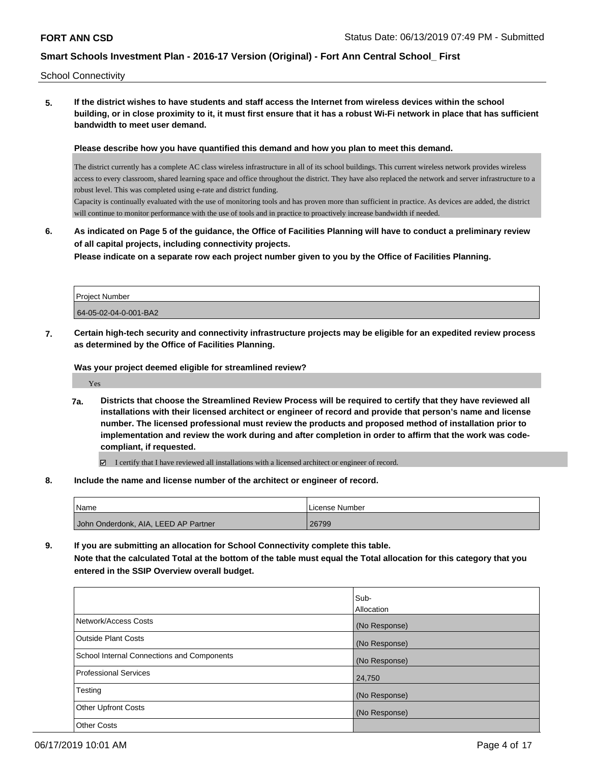School Connectivity

**5. If the district wishes to have students and staff access the Internet from wireless devices within the school building, or in close proximity to it, it must first ensure that it has a robust Wi-Fi network in place that has sufficient bandwidth to meet user demand.**

**Please describe how you have quantified this demand and how you plan to meet this demand.**

The district currently has a complete AC class wireless infrastructure in all of its school buildings. This current wireless network provides wireless access to every classroom, shared learning space and office throughout the district. They have also replaced the network and server infrastructure to a robust level. This was completed using e-rate and district funding.

Capacity is continually evaluated with the use of monitoring tools and has proven more than sufficient in practice. As devices are added, the district will continue to monitor performance with the use of tools and in practice to proactively increase bandwidth if needed.

**6. As indicated on Page 5 of the guidance, the Office of Facilities Planning will have to conduct a preliminary review of all capital projects, including connectivity projects.**

**Please indicate on a separate row each project number given to you by the Office of Facilities Planning.**

| <b>Project Number</b> |  |
|-----------------------|--|
| 64-05-02-04-0-001-BA2 |  |

**7. Certain high-tech security and connectivity infrastructure projects may be eligible for an expedited review process as determined by the Office of Facilities Planning.**

**Was your project deemed eligible for streamlined review?**

Yes

**7a. Districts that choose the Streamlined Review Process will be required to certify that they have reviewed all installations with their licensed architect or engineer of record and provide that person's name and license number. The licensed professional must review the products and proposed method of installation prior to implementation and review the work during and after completion in order to affirm that the work was codecompliant, if requested.**

I certify that I have reviewed all installations with a licensed architect or engineer of record.

**8. Include the name and license number of the architect or engineer of record.**

| <b>Name</b>                          | License Number |
|--------------------------------------|----------------|
| John Onderdonk, AIA, LEED AP Partner | 26799          |

**9. If you are submitting an allocation for School Connectivity complete this table. Note that the calculated Total at the bottom of the table must equal the Total allocation for this category that you entered in the SSIP Overview overall budget.** 

|                                            | Sub-              |
|--------------------------------------------|-------------------|
|                                            | <b>Allocation</b> |
| Network/Access Costs                       | (No Response)     |
| Outside Plant Costs                        | (No Response)     |
| School Internal Connections and Components | (No Response)     |
| Professional Services                      | 24,750            |
| Testing                                    | (No Response)     |
| <b>Other Upfront Costs</b>                 | (No Response)     |
| <b>Other Costs</b>                         |                   |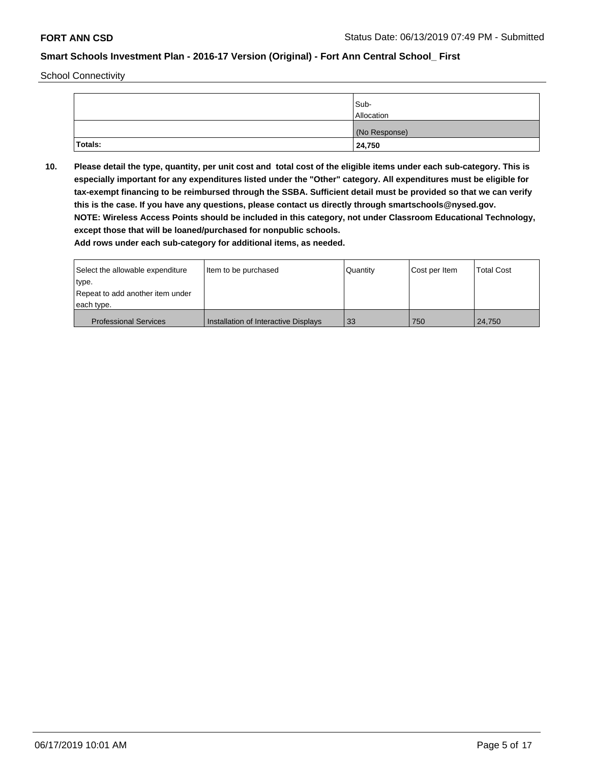School Connectivity

|                | Sub-          |
|----------------|---------------|
|                | Allocation    |
|                | (No Response) |
| <b>Totals:</b> | 24,750        |

**10. Please detail the type, quantity, per unit cost and total cost of the eligible items under each sub-category. This is especially important for any expenditures listed under the "Other" category. All expenditures must be eligible for tax-exempt financing to be reimbursed through the SSBA. Sufficient detail must be provided so that we can verify this is the case. If you have any questions, please contact us directly through smartschools@nysed.gov. NOTE: Wireless Access Points should be included in this category, not under Classroom Educational Technology, except those that will be loaned/purchased for nonpublic schools.**

| Select the allowable expenditure | Item to be purchased                 | Quantity | Cost per Item | Total Cost |
|----------------------------------|--------------------------------------|----------|---------------|------------|
| type.                            |                                      |          |               |            |
| Repeat to add another item under |                                      |          |               |            |
| each type.                       |                                      |          |               |            |
| <b>Professional Services</b>     | Installation of Interactive Displays | 33       | 750           | 24.750     |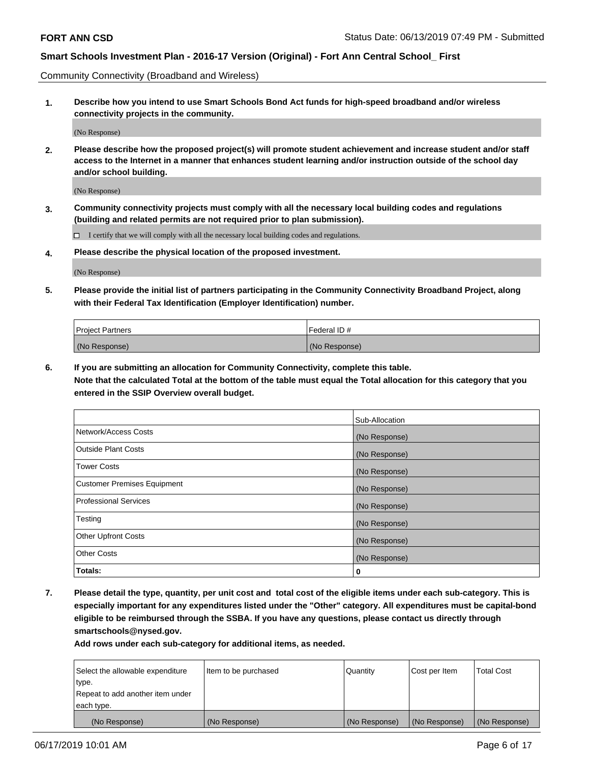Community Connectivity (Broadband and Wireless)

**1. Describe how you intend to use Smart Schools Bond Act funds for high-speed broadband and/or wireless connectivity projects in the community.**

(No Response)

**2. Please describe how the proposed project(s) will promote student achievement and increase student and/or staff access to the Internet in a manner that enhances student learning and/or instruction outside of the school day and/or school building.**

(No Response)

**3. Community connectivity projects must comply with all the necessary local building codes and regulations (building and related permits are not required prior to plan submission).**

 $\Box$  I certify that we will comply with all the necessary local building codes and regulations.

**4. Please describe the physical location of the proposed investment.**

(No Response)

**5. Please provide the initial list of partners participating in the Community Connectivity Broadband Project, along with their Federal Tax Identification (Employer Identification) number.**

| <b>Project Partners</b> | Federal ID#   |
|-------------------------|---------------|
| (No Response)           | (No Response) |

**6. If you are submitting an allocation for Community Connectivity, complete this table.**

**Note that the calculated Total at the bottom of the table must equal the Total allocation for this category that you entered in the SSIP Overview overall budget.**

|                                    | Sub-Allocation |
|------------------------------------|----------------|
| Network/Access Costs               | (No Response)  |
| <b>Outside Plant Costs</b>         | (No Response)  |
| <b>Tower Costs</b>                 | (No Response)  |
| <b>Customer Premises Equipment</b> | (No Response)  |
| <b>Professional Services</b>       | (No Response)  |
| Testing                            | (No Response)  |
| <b>Other Upfront Costs</b>         | (No Response)  |
| <b>Other Costs</b>                 | (No Response)  |
| Totals:                            | 0              |

**7. Please detail the type, quantity, per unit cost and total cost of the eligible items under each sub-category. This is especially important for any expenditures listed under the "Other" category. All expenditures must be capital-bond eligible to be reimbursed through the SSBA. If you have any questions, please contact us directly through smartschools@nysed.gov.**

| Select the allowable expenditure | Item to be purchased | Quantity      | Cost per Item | <b>Total Cost</b> |
|----------------------------------|----------------------|---------------|---------------|-------------------|
| type.                            |                      |               |               |                   |
| Repeat to add another item under |                      |               |               |                   |
| each type.                       |                      |               |               |                   |
| (No Response)                    | (No Response)        | (No Response) | (No Response) | (No Response)     |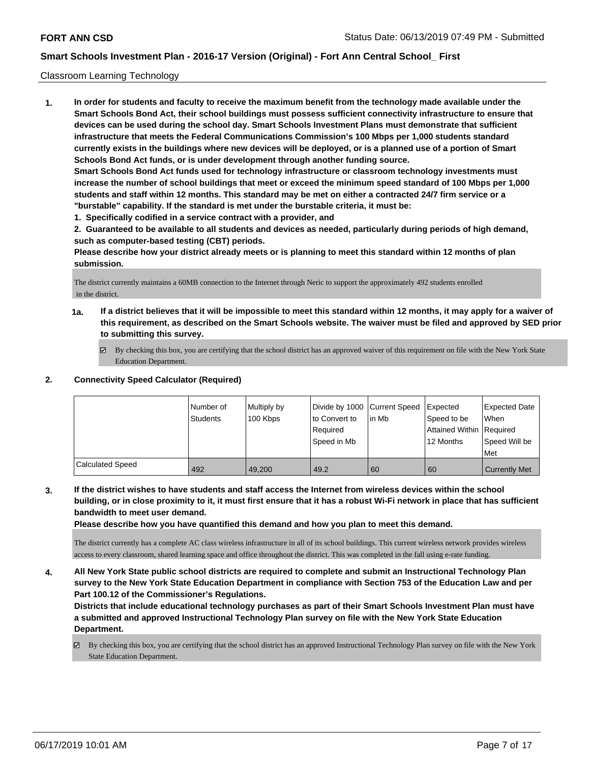#### Classroom Learning Technology

**1. In order for students and faculty to receive the maximum benefit from the technology made available under the Smart Schools Bond Act, their school buildings must possess sufficient connectivity infrastructure to ensure that devices can be used during the school day. Smart Schools Investment Plans must demonstrate that sufficient infrastructure that meets the Federal Communications Commission's 100 Mbps per 1,000 students standard currently exists in the buildings where new devices will be deployed, or is a planned use of a portion of Smart Schools Bond Act funds, or is under development through another funding source. Smart Schools Bond Act funds used for technology infrastructure or classroom technology investments must increase the number of school buildings that meet or exceed the minimum speed standard of 100 Mbps per 1,000 students and staff within 12 months. This standard may be met on either a contracted 24/7 firm service or a "burstable" capability. If the standard is met under the burstable criteria, it must be:**

**1. Specifically codified in a service contract with a provider, and**

**2. Guaranteed to be available to all students and devices as needed, particularly during periods of high demand, such as computer-based testing (CBT) periods.**

**Please describe how your district already meets or is planning to meet this standard within 12 months of plan submission.**

The district currently maintains a 60MB connection to the Internet through Neric to support the approximately 492 students enrolled in the district.

- **1a. If a district believes that it will be impossible to meet this standard within 12 months, it may apply for a waiver of this requirement, as described on the Smart Schools website. The waiver must be filed and approved by SED prior to submitting this survey.**
	- By checking this box, you are certifying that the school district has an approved waiver of this requirement on file with the New York State Education Department.

## **2. Connectivity Speed Calculator (Required)**

|                         | Number of<br>Students | Multiply by<br>100 Kbps | Divide by 1000 Current Speed<br>to Convert to<br>Required<br>Speed in Mb | lin Mb | Expected<br>Speed to be<br>Attained Within Required<br>12 Months | <b>Expected Date</b><br>When<br>Speed Will be<br>Met |
|-------------------------|-----------------------|-------------------------|--------------------------------------------------------------------------|--------|------------------------------------------------------------------|------------------------------------------------------|
| <b>Calculated Speed</b> | 492                   | 49.200                  | 49.2                                                                     | 60     | 60                                                               | <b>Currently Met</b>                                 |

**3. If the district wishes to have students and staff access the Internet from wireless devices within the school building, or in close proximity to it, it must first ensure that it has a robust Wi-Fi network in place that has sufficient bandwidth to meet user demand.**

**Please describe how you have quantified this demand and how you plan to meet this demand.**

The district currently has a complete AC class wireless infrastructure in all of its school buildings. This current wireless network provides wireless access to every classroom, shared learning space and office throughout the district. This was completed in the fall using e-rate funding.

**4. All New York State public school districts are required to complete and submit an Instructional Technology Plan survey to the New York State Education Department in compliance with Section 753 of the Education Law and per Part 100.12 of the Commissioner's Regulations.**

**Districts that include educational technology purchases as part of their Smart Schools Investment Plan must have a submitted and approved Instructional Technology Plan survey on file with the New York State Education Department.**

By checking this box, you are certifying that the school district has an approved Instructional Technology Plan survey on file with the New York State Education Department.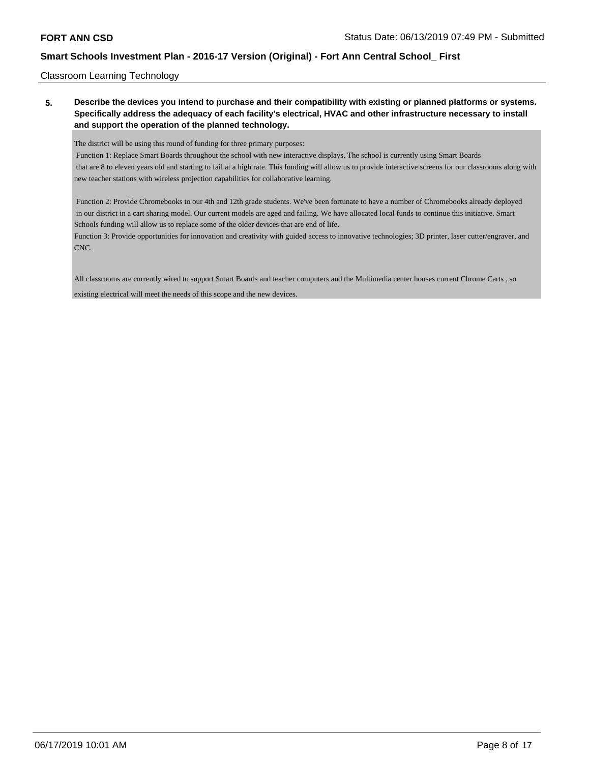#### Classroom Learning Technology

## **5. Describe the devices you intend to purchase and their compatibility with existing or planned platforms or systems. Specifically address the adequacy of each facility's electrical, HVAC and other infrastructure necessary to install and support the operation of the planned technology.**

The district will be using this round of funding for three primary purposes:

 Function 1: Replace Smart Boards throughout the school with new interactive displays. The school is currently using Smart Boards that are 8 to eleven years old and starting to fail at a high rate. This funding will allow us to provide interactive screens for our classrooms along with new teacher stations with wireless projection capabilities for collaborative learning.

 Function 2: Provide Chromebooks to our 4th and 12th grade students. We've been fortunate to have a number of Chromebooks already deployed in our district in a cart sharing model. Our current models are aged and failing. We have allocated local funds to continue this initiative. Smart Schools funding will allow us to replace some of the older devices that are end of life.

Function 3: Provide opportunities for innovation and creativity with guided access to innovative technologies; 3D printer, laser cutter/engraver, and CNC.

All classrooms are currently wired to support Smart Boards and teacher computers and the Multimedia center houses current Chrome Carts , so

existing electrical will meet the needs of this scope and the new devices.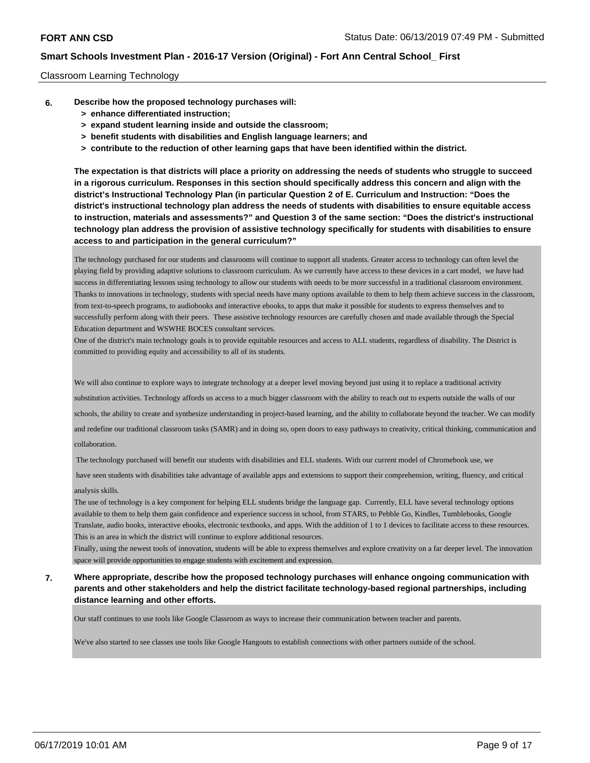#### Classroom Learning Technology

- **6. Describe how the proposed technology purchases will:**
	- **> enhance differentiated instruction;**
	- **> expand student learning inside and outside the classroom;**
	- **> benefit students with disabilities and English language learners; and**
	- **> contribute to the reduction of other learning gaps that have been identified within the district.**

**The expectation is that districts will place a priority on addressing the needs of students who struggle to succeed in a rigorous curriculum. Responses in this section should specifically address this concern and align with the district's Instructional Technology Plan (in particular Question 2 of E. Curriculum and Instruction: "Does the district's instructional technology plan address the needs of students with disabilities to ensure equitable access to instruction, materials and assessments?" and Question 3 of the same section: "Does the district's instructional technology plan address the provision of assistive technology specifically for students with disabilities to ensure access to and participation in the general curriculum?"**

The technology purchased for our students and classrooms will continue to support all students. Greater access to technology can often level the playing field by providing adaptive solutions to classroom curriculum. As we currently have access to these devices in a cart model, we have had success in differentiating lessons using technology to allow our students with needs to be more successful in a traditional classroom environment. Thanks to innovations in technology, students with special needs have many options available to them to help them achieve success in the classroom, from text-to-speech programs, to audiobooks and interactive ebooks, to apps that make it possible for students to express themselves and to successfully perform along with their peers. These assistive technology resources are carefully chosen and made available through the Special Education department and WSWHE BOCES consultant services.

One of the district's main technology goals is to provide equitable resources and access to ALL students, regardless of disability. The District is committed to providing equity and accessibility to all of its students.

We will also continue to explore ways to integrate technology at a deeper level moving beyond just using it to replace a traditional activity substitution activities. Technology affords us access to a much bigger classroom with the ability to reach out to experts outside the walls of our schools, the ability to create and synthesize understanding in project-based learning, and the ability to collaborate beyond the teacher. We can modify and redefine our traditional classroom tasks (SAMR) and in doing so, open doors to easy pathways to creativity, critical thinking, communication and collaboration.

The technology purchased will benefit our students with disabilities and ELL students. With our current model of Chromebook use, we

have seen students with disabilities take advantage of available apps and extensions to support their comprehension, writing, fluency, and critical

### analysis skills.

The use of technology is a key component for helping ELL students bridge the language gap. Currently, ELL have several technology options available to them to help them gain confidence and experience success in school, from STARS, to Pebble Go, Kindles, Tumblebooks, Google Translate, audio books, interactive ebooks, electronic textbooks, and apps. With the addition of 1 to 1 devices to facilitate access to these resources. This is an area in which the district will continue to explore additional resources.

Finally, using the newest tools of innovation, students will be able to express themselves and explore creativity on a far deeper level. The innovation space will provide opportunities to engage students with excitement and expression.

**7. Where appropriate, describe how the proposed technology purchases will enhance ongoing communication with parents and other stakeholders and help the district facilitate technology-based regional partnerships, including distance learning and other efforts.**

Our staff continues to use tools like Google Classroom as ways to increase their communication between teacher and parents.

We've also started to see classes use tools like Google Hangouts to establish connections with other partners outside of the school.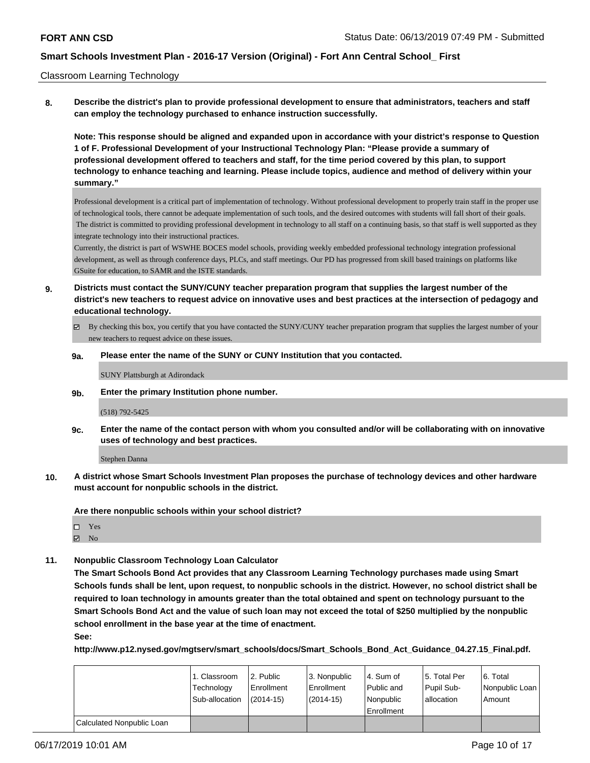#### Classroom Learning Technology

**8. Describe the district's plan to provide professional development to ensure that administrators, teachers and staff can employ the technology purchased to enhance instruction successfully.**

**Note: This response should be aligned and expanded upon in accordance with your district's response to Question 1 of F. Professional Development of your Instructional Technology Plan: "Please provide a summary of professional development offered to teachers and staff, for the time period covered by this plan, to support technology to enhance teaching and learning. Please include topics, audience and method of delivery within your summary."**

Professional development is a critical part of implementation of technology. Without professional development to properly train staff in the proper use of technological tools, there cannot be adequate implementation of such tools, and the desired outcomes with students will fall short of their goals. The district is committed to providing professional development in technology to all staff on a continuing basis, so that staff is well supported as they integrate technology into their instructional practices.

Currently, the district is part of WSWHE BOCES model schools, providing weekly embedded professional technology integration professional development, as well as through conference days, PLCs, and staff meetings. Our PD has progressed from skill based trainings on platforms like GSuite for education, to SAMR and the ISTE standards.

- **9. Districts must contact the SUNY/CUNY teacher preparation program that supplies the largest number of the district's new teachers to request advice on innovative uses and best practices at the intersection of pedagogy and educational technology.**
	- By checking this box, you certify that you have contacted the SUNY/CUNY teacher preparation program that supplies the largest number of your new teachers to request advice on these issues.

#### **9a. Please enter the name of the SUNY or CUNY Institution that you contacted.**

SUNY Plattsburgh at Adirondack

**9b. Enter the primary Institution phone number.**

#### (518) 792-5425

**9c. Enter the name of the contact person with whom you consulted and/or will be collaborating with on innovative uses of technology and best practices.**

Stephen Danna

**10. A district whose Smart Schools Investment Plan proposes the purchase of technology devices and other hardware must account for nonpublic schools in the district.**

**Are there nonpublic schools within your school district?**

□ Yes

 $\boxtimes$  No

**11. Nonpublic Classroom Technology Loan Calculator**

**The Smart Schools Bond Act provides that any Classroom Learning Technology purchases made using Smart Schools funds shall be lent, upon request, to nonpublic schools in the district. However, no school district shall be required to loan technology in amounts greater than the total obtained and spent on technology pursuant to the Smart Schools Bond Act and the value of such loan may not exceed the total of \$250 multiplied by the nonpublic school enrollment in the base year at the time of enactment.**

**See:**

**http://www.p12.nysed.gov/mgtserv/smart\_schools/docs/Smart\_Schools\_Bond\_Act\_Guidance\_04.27.15\_Final.pdf.**

|                           | 1. Classroom   | 2. Public   | 3. Nonpublic | l 4. Sum of  | 15. Total Per | l 6. Total     |
|---------------------------|----------------|-------------|--------------|--------------|---------------|----------------|
|                           | Technology     | Enrollment  | Enrollment   | Public and   | Pupil Sub-    | Nonpublic Loan |
|                           | Sub-allocation | $(2014-15)$ | $(2014-15)$  | l Nonpublic  | lallocation   | Amount         |
|                           |                |             |              | l Enrollment |               |                |
| Calculated Nonpublic Loan |                |             |              |              |               |                |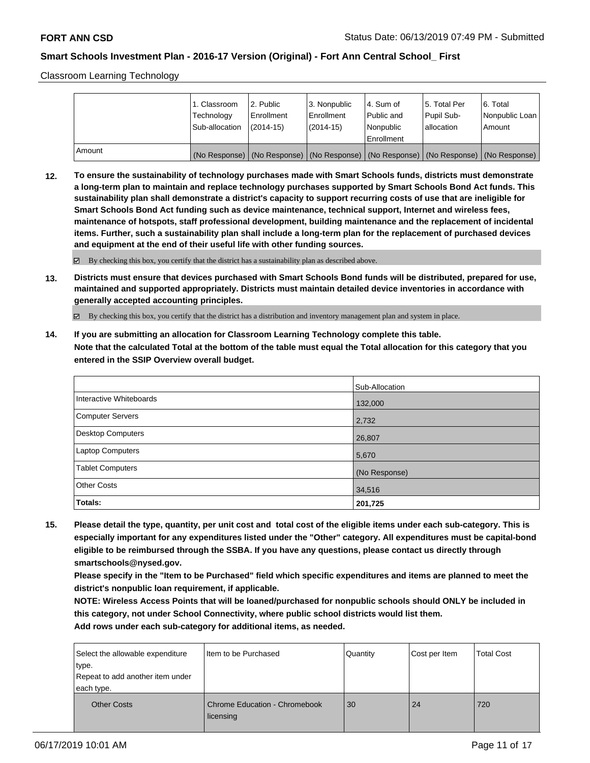Classroom Learning Technology

|        | 1. Classroom<br>Technology<br>Sub-allocation | 12. Public<br>Enrollment<br>(2014-15) | 3. Nonpublic<br>l Enrollment<br>$(2014-15)$ | l 4. Sum of<br>Public and<br>Nonpublic                                              | 15. Total Per<br>Pupil Sub-<br>lallocation | 6. Total<br>Nonpublic Loan<br>Amount |
|--------|----------------------------------------------|---------------------------------------|---------------------------------------------|-------------------------------------------------------------------------------------|--------------------------------------------|--------------------------------------|
|        |                                              |                                       |                                             | Enrollment                                                                          |                                            |                                      |
| Amount |                                              |                                       |                                             | (No Response) (No Response) (No Response) (No Response) (No Response) (No Response) |                                            |                                      |

**12. To ensure the sustainability of technology purchases made with Smart Schools funds, districts must demonstrate a long-term plan to maintain and replace technology purchases supported by Smart Schools Bond Act funds. This sustainability plan shall demonstrate a district's capacity to support recurring costs of use that are ineligible for Smart Schools Bond Act funding such as device maintenance, technical support, Internet and wireless fees, maintenance of hotspots, staff professional development, building maintenance and the replacement of incidental items. Further, such a sustainability plan shall include a long-term plan for the replacement of purchased devices and equipment at the end of their useful life with other funding sources.**

By checking this box, you certify that the district has a sustainability plan as described above.

**13. Districts must ensure that devices purchased with Smart Schools Bond funds will be distributed, prepared for use, maintained and supported appropriately. Districts must maintain detailed device inventories in accordance with generally accepted accounting principles.**

By checking this box, you certify that the district has a distribution and inventory management plan and system in place.

**14. If you are submitting an allocation for Classroom Learning Technology complete this table. Note that the calculated Total at the bottom of the table must equal the Total allocation for this category that you entered in the SSIP Overview overall budget.**

|                         | Sub-Allocation |
|-------------------------|----------------|
| Interactive Whiteboards | 132,000        |
| Computer Servers        | 2,732          |
| Desktop Computers       | 26,807         |
| <b>Laptop Computers</b> | 5,670          |
| <b>Tablet Computers</b> | (No Response)  |
| <b>Other Costs</b>      | 34,516         |
| Totals:                 | 201,725        |

**15. Please detail the type, quantity, per unit cost and total cost of the eligible items under each sub-category. This is especially important for any expenditures listed under the "Other" category. All expenditures must be capital-bond eligible to be reimbursed through the SSBA. If you have any questions, please contact us directly through smartschools@nysed.gov.**

**Please specify in the "Item to be Purchased" field which specific expenditures and items are planned to meet the district's nonpublic loan requirement, if applicable.**

**NOTE: Wireless Access Points that will be loaned/purchased for nonpublic schools should ONLY be included in this category, not under School Connectivity, where public school districts would list them. Add rows under each sub-category for additional items, as needed.**

| Select the allowable expenditure<br>∣type.<br>Repeat to add another item under<br>each type. | Item to be Purchased                              | Quantity | Cost per Item | <b>Total Cost</b> |
|----------------------------------------------------------------------------------------------|---------------------------------------------------|----------|---------------|-------------------|
| <b>Other Costs</b>                                                                           | <b>Chrome Education - Chromebook</b><br>licensing | 30       | 24            | 720               |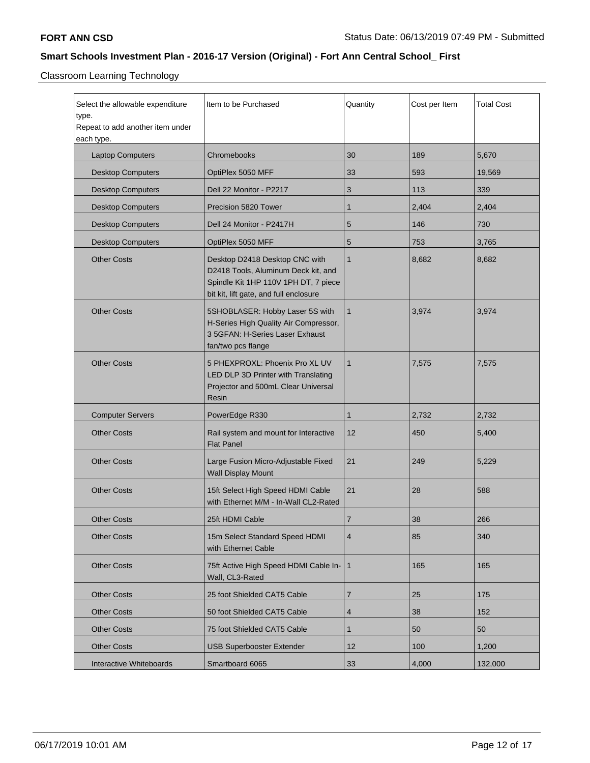Classroom Learning Technology

| Select the allowable expenditure<br>type.<br>Repeat to add another item under<br>each type. | Item to be Purchased                                                                                                                                    | Quantity       | Cost per Item | <b>Total Cost</b> |
|---------------------------------------------------------------------------------------------|---------------------------------------------------------------------------------------------------------------------------------------------------------|----------------|---------------|-------------------|
| <b>Laptop Computers</b>                                                                     | Chromebooks                                                                                                                                             | 30             | 189           | 5,670             |
| <b>Desktop Computers</b>                                                                    | OptiPlex 5050 MFF                                                                                                                                       | 33             | 593           | 19,569            |
| <b>Desktop Computers</b>                                                                    | Dell 22 Monitor - P2217                                                                                                                                 | 3              | 113           | 339               |
| <b>Desktop Computers</b>                                                                    | Precision 5820 Tower                                                                                                                                    | $\mathbf 1$    | 2,404         | 2,404             |
| <b>Desktop Computers</b>                                                                    | Dell 24 Monitor - P2417H                                                                                                                                | 5              | 146           | 730               |
| <b>Desktop Computers</b>                                                                    | OptiPlex 5050 MFF                                                                                                                                       | 5              | 753           | 3,765             |
| <b>Other Costs</b>                                                                          | Desktop D2418 Desktop CNC with<br>D2418 Tools, Aluminum Deck kit, and<br>Spindle Kit 1HP 110V 1PH DT, 7 piece<br>bit kit, lift gate, and full enclosure | $\mathbf{1}$   | 8,682         | 8,682             |
| <b>Other Costs</b>                                                                          | 5SHOBLASER: Hobby Laser 5S with<br>H-Series High Quality Air Compressor,<br>3 5GFAN: H-Series Laser Exhaust<br>fan/two pcs flange                       | $\mathbf{1}$   | 3,974         | 3,974             |
| <b>Other Costs</b>                                                                          | 5 PHEXPROXL: Phoenix Pro XL UV<br>LED DLP 3D Printer with Translating<br>Projector and 500mL Clear Universal<br>Resin                                   | $\mathbf{1}$   | 7,575         | 7,575             |
| <b>Computer Servers</b>                                                                     | PowerEdge R330                                                                                                                                          | $\mathbf{1}$   | 2,732         | 2,732             |
| <b>Other Costs</b>                                                                          | Rail system and mount for Interactive<br><b>Flat Panel</b>                                                                                              | 12             | 450           | 5,400             |
| <b>Other Costs</b>                                                                          | Large Fusion Micro-Adjustable Fixed<br><b>Wall Display Mount</b>                                                                                        | 21             | 249           | 5,229             |
| <b>Other Costs</b>                                                                          | 15ft Select High Speed HDMI Cable<br>with Ethernet M/M - In-Wall CL2-Rated                                                                              | 21             | 28            | 588               |
| <b>Other Costs</b>                                                                          | 25ft HDMI Cable                                                                                                                                         | $\overline{7}$ | 38            | 266               |
| <b>Other Costs</b>                                                                          | 15m Select Standard Speed HDMI<br>with Ethernet Cable                                                                                                   | $\overline{4}$ | 85            | 340               |
| <b>Other Costs</b>                                                                          | 75ft Active High Speed HDMI Cable In-<br>Wall, CL3-Rated                                                                                                | $\mathbf{1}$   | 165           | 165               |
| <b>Other Costs</b>                                                                          | 25 foot Shielded CAT5 Cable                                                                                                                             | $\overline{7}$ | 25            | 175               |
| <b>Other Costs</b>                                                                          | 50 foot Shielded CAT5 Cable                                                                                                                             | 4              | 38            | 152               |
| <b>Other Costs</b>                                                                          | 75 foot Shielded CAT5 Cable                                                                                                                             | 1              | 50            | 50                |
| <b>Other Costs</b>                                                                          | <b>USB Superbooster Extender</b>                                                                                                                        | 12             | 100           | 1,200             |
| Interactive Whiteboards                                                                     | Smartboard 6065                                                                                                                                         | 33             | 4,000         | 132,000           |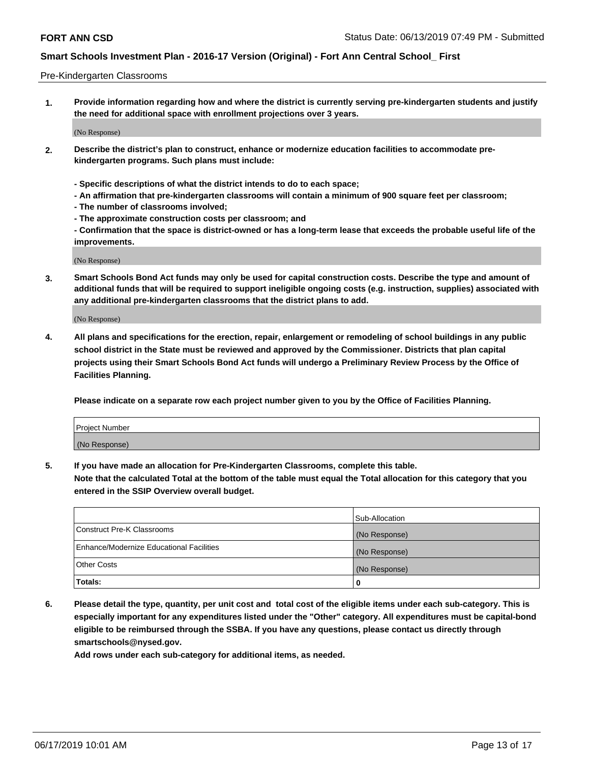#### Pre-Kindergarten Classrooms

**1. Provide information regarding how and where the district is currently serving pre-kindergarten students and justify the need for additional space with enrollment projections over 3 years.**

(No Response)

- **2. Describe the district's plan to construct, enhance or modernize education facilities to accommodate prekindergarten programs. Such plans must include:**
	- **Specific descriptions of what the district intends to do to each space;**
	- **An affirmation that pre-kindergarten classrooms will contain a minimum of 900 square feet per classroom;**
	- **The number of classrooms involved;**
	- **The approximate construction costs per classroom; and**
	- **Confirmation that the space is district-owned or has a long-term lease that exceeds the probable useful life of the improvements.**

(No Response)

**3. Smart Schools Bond Act funds may only be used for capital construction costs. Describe the type and amount of additional funds that will be required to support ineligible ongoing costs (e.g. instruction, supplies) associated with any additional pre-kindergarten classrooms that the district plans to add.**

(No Response)

**4. All plans and specifications for the erection, repair, enlargement or remodeling of school buildings in any public school district in the State must be reviewed and approved by the Commissioner. Districts that plan capital projects using their Smart Schools Bond Act funds will undergo a Preliminary Review Process by the Office of Facilities Planning.**

**Please indicate on a separate row each project number given to you by the Office of Facilities Planning.**

| Project Number |  |
|----------------|--|
| (No Response)  |  |
|                |  |

**5. If you have made an allocation for Pre-Kindergarten Classrooms, complete this table.**

**Note that the calculated Total at the bottom of the table must equal the Total allocation for this category that you entered in the SSIP Overview overall budget.**

|                                          | Sub-Allocation |
|------------------------------------------|----------------|
| Construct Pre-K Classrooms               | (No Response)  |
| Enhance/Modernize Educational Facilities | (No Response)  |
| <b>Other Costs</b>                       | (No Response)  |
| Totals:                                  | 0              |

**6. Please detail the type, quantity, per unit cost and total cost of the eligible items under each sub-category. This is especially important for any expenditures listed under the "Other" category. All expenditures must be capital-bond eligible to be reimbursed through the SSBA. If you have any questions, please contact us directly through smartschools@nysed.gov.**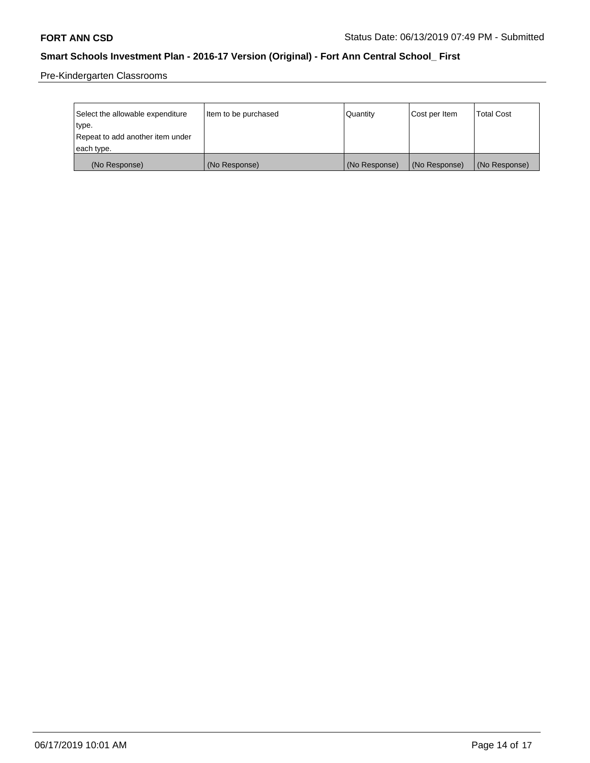Pre-Kindergarten Classrooms

| Select the allowable expenditure | Item to be purchased | Quantity      | Cost per Item | <b>Total Cost</b> |
|----------------------------------|----------------------|---------------|---------------|-------------------|
| type.                            |                      |               |               |                   |
| Repeat to add another item under |                      |               |               |                   |
| each type.                       |                      |               |               |                   |
| (No Response)                    | (No Response)        | (No Response) | (No Response) | (No Response)     |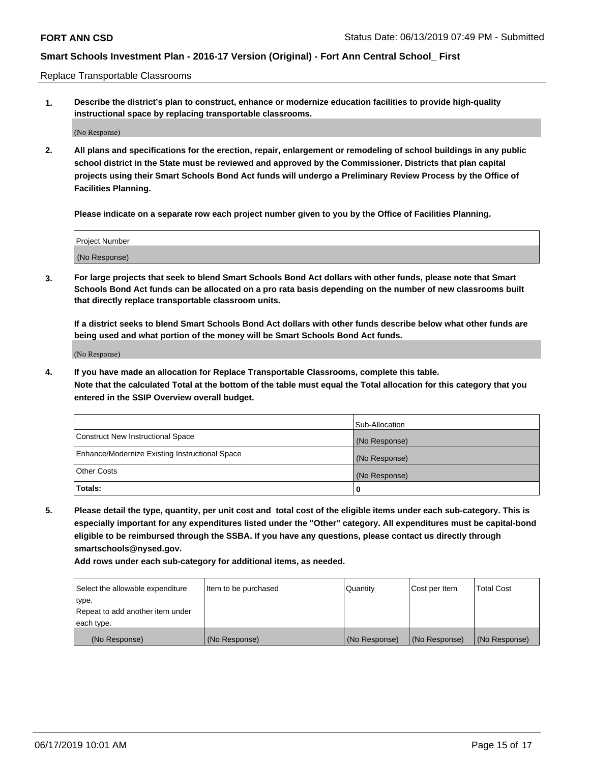Replace Transportable Classrooms

**1. Describe the district's plan to construct, enhance or modernize education facilities to provide high-quality instructional space by replacing transportable classrooms.**

(No Response)

**2. All plans and specifications for the erection, repair, enlargement or remodeling of school buildings in any public school district in the State must be reviewed and approved by the Commissioner. Districts that plan capital projects using their Smart Schools Bond Act funds will undergo a Preliminary Review Process by the Office of Facilities Planning.**

**Please indicate on a separate row each project number given to you by the Office of Facilities Planning.**

| Project Number |               |  |
|----------------|---------------|--|
|                |               |  |
|                |               |  |
|                | (No Response) |  |

**3. For large projects that seek to blend Smart Schools Bond Act dollars with other funds, please note that Smart Schools Bond Act funds can be allocated on a pro rata basis depending on the number of new classrooms built that directly replace transportable classroom units.**

**If a district seeks to blend Smart Schools Bond Act dollars with other funds describe below what other funds are being used and what portion of the money will be Smart Schools Bond Act funds.**

(No Response)

**4. If you have made an allocation for Replace Transportable Classrooms, complete this table. Note that the calculated Total at the bottom of the table must equal the Total allocation for this category that you entered in the SSIP Overview overall budget.**

|                                                | Sub-Allocation |
|------------------------------------------------|----------------|
| Construct New Instructional Space              | (No Response)  |
| Enhance/Modernize Existing Instructional Space | (No Response)  |
| <b>Other Costs</b>                             | (No Response)  |
| Totals:                                        | 0              |

**5. Please detail the type, quantity, per unit cost and total cost of the eligible items under each sub-category. This is especially important for any expenditures listed under the "Other" category. All expenditures must be capital-bond eligible to be reimbursed through the SSBA. If you have any questions, please contact us directly through smartschools@nysed.gov.**

| Select the allowable expenditure | Item to be purchased | l Quantitv    | Cost per Item | <b>Total Cost</b> |
|----------------------------------|----------------------|---------------|---------------|-------------------|
| type.                            |                      |               |               |                   |
| Repeat to add another item under |                      |               |               |                   |
| each type.                       |                      |               |               |                   |
| (No Response)                    | (No Response)        | (No Response) | (No Response) | (No Response)     |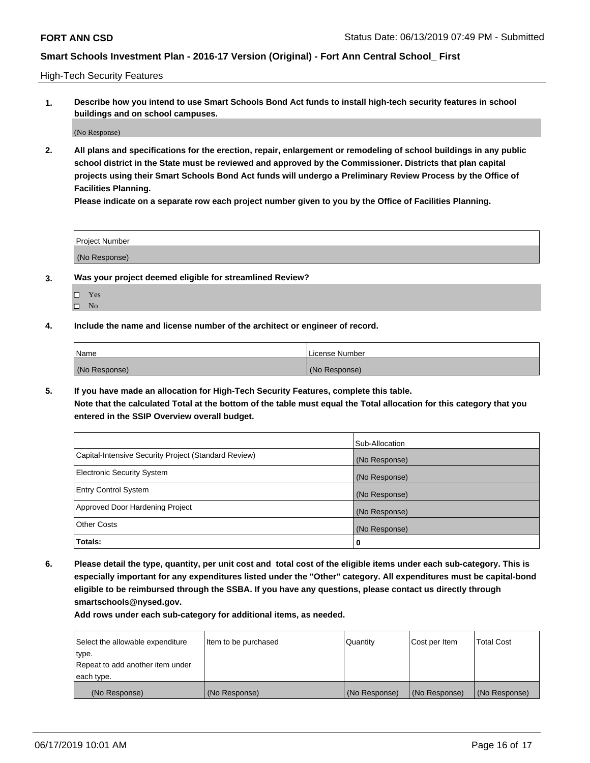High-Tech Security Features

**1. Describe how you intend to use Smart Schools Bond Act funds to install high-tech security features in school buildings and on school campuses.**

(No Response)

**2. All plans and specifications for the erection, repair, enlargement or remodeling of school buildings in any public school district in the State must be reviewed and approved by the Commissioner. Districts that plan capital projects using their Smart Schools Bond Act funds will undergo a Preliminary Review Process by the Office of Facilities Planning.** 

**Please indicate on a separate row each project number given to you by the Office of Facilities Planning.**

| <b>Project Number</b> |  |
|-----------------------|--|
| (No Response)         |  |

- **3. Was your project deemed eligible for streamlined Review?**
	- Yes
	- $\square$  No
- **4. Include the name and license number of the architect or engineer of record.**

| <b>Name</b>   | License Number |
|---------------|----------------|
| (No Response) | (No Response)  |

**5. If you have made an allocation for High-Tech Security Features, complete this table.**

**Note that the calculated Total at the bottom of the table must equal the Total allocation for this category that you entered in the SSIP Overview overall budget.**

|                                                      | Sub-Allocation |
|------------------------------------------------------|----------------|
| Capital-Intensive Security Project (Standard Review) | (No Response)  |
| <b>Electronic Security System</b>                    | (No Response)  |
| <b>Entry Control System</b>                          | (No Response)  |
| Approved Door Hardening Project                      | (No Response)  |
| <b>Other Costs</b>                                   | (No Response)  |
| Totals:                                              | 0              |

**6. Please detail the type, quantity, per unit cost and total cost of the eligible items under each sub-category. This is especially important for any expenditures listed under the "Other" category. All expenditures must be capital-bond eligible to be reimbursed through the SSBA. If you have any questions, please contact us directly through smartschools@nysed.gov.**

| Select the allowable expenditure | Item to be purchased | l Quantitv    | Cost per Item | <b>Total Cost</b> |
|----------------------------------|----------------------|---------------|---------------|-------------------|
| type.                            |                      |               |               |                   |
| Repeat to add another item under |                      |               |               |                   |
| each type.                       |                      |               |               |                   |
| (No Response)                    | (No Response)        | (No Response) | (No Response) | (No Response)     |